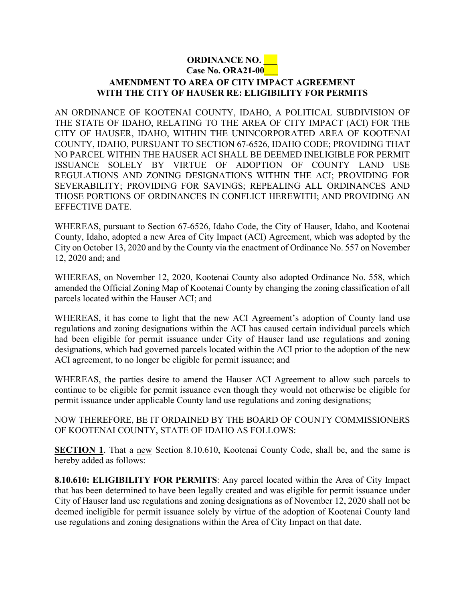## **ORDINANCE NO. \_\_\_ Case No. ORA21-00\_\_\_**

## **AMENDMENT TO AREA OF CITY IMPACT AGREEMENT WITH THE CITY OF HAUSER RE: ELIGIBILITY FOR PERMITS**

AN ORDINANCE OF KOOTENAI COUNTY, IDAHO, A POLITICAL SUBDIVISION OF THE STATE OF IDAHO, RELATING TO THE AREA OF CITY IMPACT (ACI) FOR THE CITY OF HAUSER, IDAHO, WITHIN THE UNINCORPORATED AREA OF KOOTENAI COUNTY, IDAHO, PURSUANT TO SECTION 67-6526, IDAHO CODE; PROVIDING THAT NO PARCEL WITHIN THE HAUSER ACI SHALL BE DEEMED INELIGIBLE FOR PERMIT ISSUANCE SOLELY BY VIRTUE OF ADOPTION OF COUNTY LAND USE REGULATIONS AND ZONING DESIGNATIONS WITHIN THE ACI; PROVIDING FOR SEVERABILITY; PROVIDING FOR SAVINGS; REPEALING ALL ORDINANCES AND THOSE PORTIONS OF ORDINANCES IN CONFLICT HEREWITH; AND PROVIDING AN EFFECTIVE DATE.

WHEREAS, pursuant to Section 67-6526, Idaho Code, the City of Hauser, Idaho, and Kootenai County, Idaho, adopted a new Area of City Impact (ACI) Agreement, which was adopted by the City on October 13, 2020 and by the County via the enactment of Ordinance No. 557 on November 12, 2020 and; and

WHEREAS, on November 12, 2020, Kootenai County also adopted Ordinance No. 558, which amended the Official Zoning Map of Kootenai County by changing the zoning classification of all parcels located within the Hauser ACI; and

WHEREAS, it has come to light that the new ACI Agreement's adoption of County land use regulations and zoning designations within the ACI has caused certain individual parcels which had been eligible for permit issuance under City of Hauser land use regulations and zoning designations, which had governed parcels located within the ACI prior to the adoption of the new ACI agreement, to no longer be eligible for permit issuance; and

WHEREAS, the parties desire to amend the Hauser ACI Agreement to allow such parcels to continue to be eligible for permit issuance even though they would not otherwise be eligible for permit issuance under applicable County land use regulations and zoning designations;

NOW THEREFORE, BE IT ORDAINED BY THE BOARD OF COUNTY COMMISSIONERS OF KOOTENAI COUNTY, STATE OF IDAHO AS FOLLOWS:

**SECTION 1**. That a new Section 8.10.610, Kootenai County Code, shall be, and the same is hereby added as follows:

**8.10.610: ELIGIBILITY FOR PERMITS**: Any parcel located within the Area of City Impact that has been determined to have been legally created and was eligible for permit issuance under City of Hauser land use regulations and zoning designations as of November 12, 2020 shall not be deemed ineligible for permit issuance solely by virtue of the adoption of Kootenai County land use regulations and zoning designations within the Area of City Impact on that date.